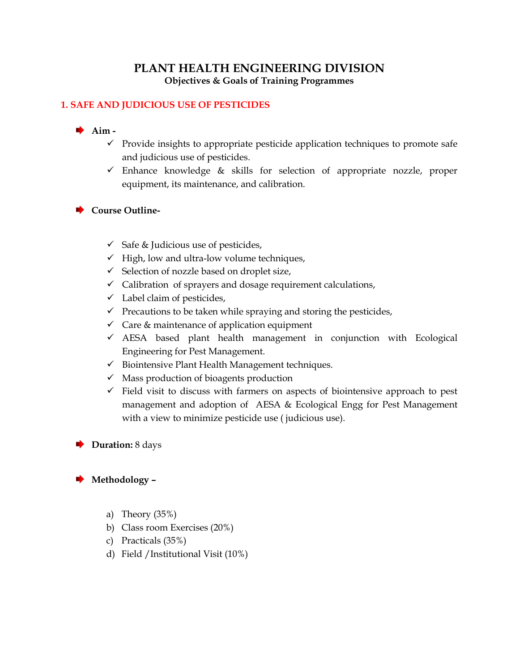# **PLANT HEALTH ENGINEERING DIVISION Objectives & Goals of Training Programmes**

# **1. SAFE AND JUDICIOUS USE OF PESTICIDES**

# **Aim -**

- $\checkmark$  Provide insights to appropriate pesticide application techniques to promote safe and judicious use of pesticides.
- $\checkmark$  Enhance knowledge & skills for selection of appropriate nozzle, proper equipment, its maintenance, and calibration.

## **Course Outline-**

- $\checkmark$  Safe & Judicious use of pesticides,
- $\checkmark$  High, low and ultra-low volume techniques,
- $\checkmark$  Selection of nozzle based on droplet size,
- $\checkmark$  Calibration of sprayers and dosage requirement calculations,
- $\checkmark$  Label claim of pesticides,
- $\checkmark$  Precautions to be taken while spraying and storing the pesticides,
- $\checkmark$  Care & maintenance of application equipment
- $\checkmark$  AESA based plant health management in conjunction with Ecological Engineering for Pest Management.
- $\checkmark$  Biointensive Plant Health Management techniques.
- $\checkmark$  Mass production of bioagents production
- $\checkmark$  Field visit to discuss with farmers on aspects of biointensive approach to pest management and adoption of AESA & Ecological Engg for Pest Management with a view to minimize pesticide use ( judicious use).

## **▶ Duration:** 8 days

# **Methodology –**

- a) Theory (35%)
- b) Class room Exercises (20%)
- c) Practicals (35%)
- d) Field /Institutional Visit (10%)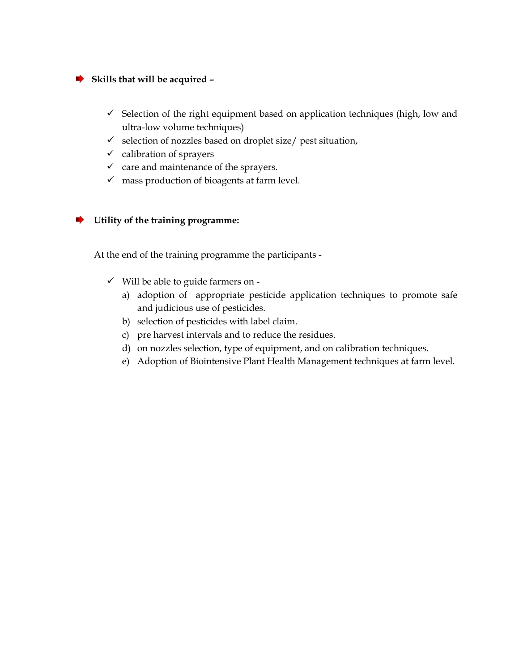### **Skills that will be acquired –**

- $\checkmark$  Selection of the right equipment based on application techniques (high, low and ultra-low volume techniques)
- $\checkmark$  selection of nozzles based on droplet size/ pest situation,
- $\checkmark$  calibration of sprayers
- $\checkmark$  care and maintenance of the sprayers.
- $\checkmark$  mass production of bioagents at farm level.

#### **Utility of the training programme:**

At the end of the training programme the participants -

- $\checkmark$  Will be able to guide farmers on
	- a) adoption of appropriate pesticide application techniques to promote safe and judicious use of pesticides.
	- b) selection of pesticides with label claim.
	- c) pre harvest intervals and to reduce the residues.
	- d) on nozzles selection, type of equipment, and on calibration techniques.
	- e) Adoption of Biointensive Plant Health Management techniques at farm level.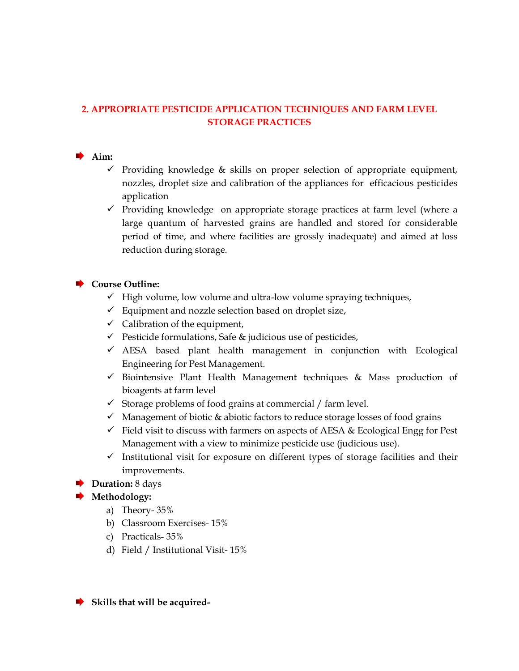# **2. APPROPRIATE PESTICIDE APPLICATION TECHNIQUES AND FARM LEVEL STORAGE PRACTICES**

## **Aim:**

- $\checkmark$  Providing knowledge & skills on proper selection of appropriate equipment, nozzles, droplet size and calibration of the appliances for efficacious pesticides application
- $\checkmark$  Providing knowledge on appropriate storage practices at farm level (where a large quantum of harvested grains are handled and stored for considerable period of time, and where facilities are grossly inadequate) and aimed at loss reduction during storage.

## **Course Outline:**

- $\checkmark$  High volume, low volume and ultra-low volume spraying techniques,
- $\checkmark$  Equipment and nozzle selection based on droplet size,
- $\checkmark$  Calibration of the equipment,
- $\checkmark$  Pesticide formulations, Safe & judicious use of pesticides,
- $\checkmark$  AESA based plant health management in conjunction with Ecological Engineering for Pest Management.
- $\checkmark$  Biointensive Plant Health Management techniques & Mass production of bioagents at farm level
- $\checkmark$  Storage problems of food grains at commercial / farm level.
- $\checkmark$  Management of biotic & abiotic factors to reduce storage losses of food grains
- $\checkmark$  Field visit to discuss with farmers on aspects of AESA & Ecological Engg for Pest Management with a view to minimize pesticide use (judicious use).
- $\checkmark$  Institutional visit for exposure on different types of storage facilities and their improvements.

## **Duration:** 8 days

# **Methodology:**

- a) Theory- 35%
- b) Classroom Exercises- 15%
- c) Practicals- 35%
- d) Field / Institutional Visit- 15%

**Skills that will be acquired-**